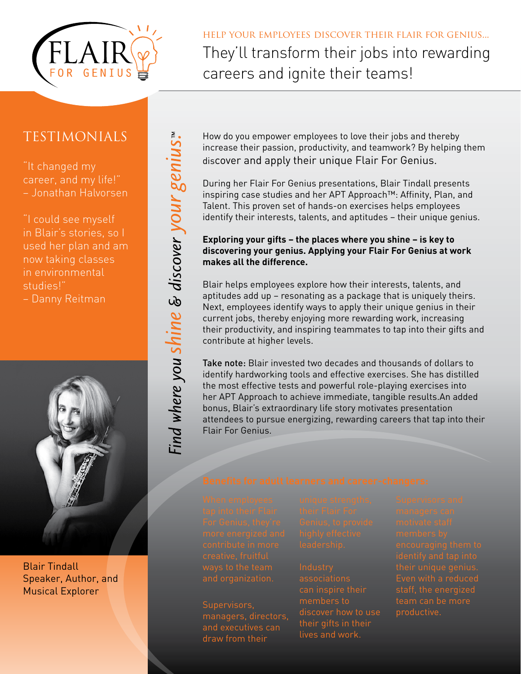

## help your employees discover their flair for genius...

They'll transform their jobs into rewarding careers and ignite their teams!

## Testimonials

"It changed my career, and my life!" – Jonathan Halvorsen

"I could see myself in Blair's stories, so I used her plan and am now taking classes in environmental studies!" – Danny Reitman

Find where you shine & discover your genius."



Blair Tindall Speaker, Author, and Musical Explorer

How do you empower employees to love their jobs and thereby increase their passion, productivity, and teamwork? By helping them discover and apply their unique Flair For Genius.

During her Flair For Genius presentations, Blair Tindall presents inspiring case studies and her APT Approach™: Affinity, Plan, and Talent. This proven set of hands-on exercises helps employees identify their interests, talents, and aptitudes – their unique genius.

### **Exploring your gifts – the places where you shine – is key to discovering your genius. Applying your Flair For Genius at work makes all the difference.**

Blair helps employees explore how their interests, talents, and aptitudes add up – resonating as a package that is uniquely theirs. Next, employees identify ways to apply their unique genius in their current jobs, thereby enjoying more rewarding work, increasing their productivity, and inspiring teammates to tap into their gifts and contribute at higher levels.

Take note: Blair invested two decades and thousands of dollars to identify hardworking tools and effective exercises. She has distilled the most effective tests and powerful role-playing exercises into her APT Approach to achieve immediate, tangible results.An added bonus, Blair's extraordinary life story motivates presentation attendees to pursue energizing, rewarding careers that tap into their Flair For Genius.

Supervisors, draw from their

**Industry** associations members to their gifts in their lives and work.

their unique genius. team can be more